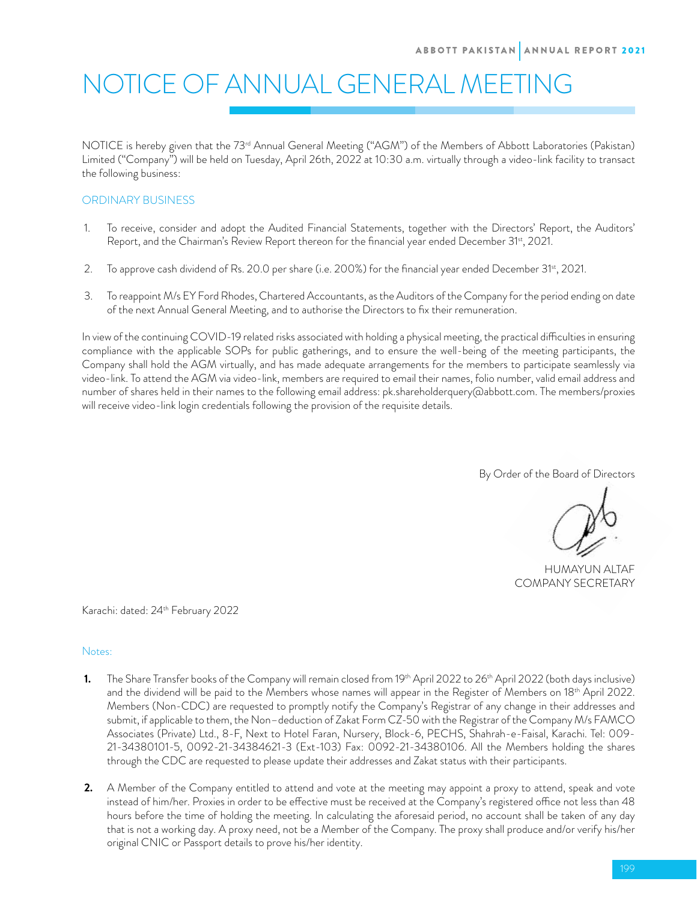# NOTICE OF ANNUAL GENERAL MEETING

NOTICE is hereby given that the 73<sup>rd</sup> Annual General Meeting ("AGM") of the Members of Abbott Laboratories (Pakistan) Limited ("Company") will be held on Tuesday, April 26th, 2022 at 10:30 a.m. virtually through a video-link facility to transact the following business:

## ORDINARY BUSINESS

- 1. To receive, consider and adopt the Audited Financial Statements, together with the Directors' Report, the Auditors' Report, and the Chairman's Review Report thereon for the financial year ended December 31<sup>st</sup>, 2021.
- 2. To approve cash dividend of Rs. 20.0 per share (i.e. 200%) for the financial year ended December 31st, 2021.
- 3. To reappoint M/s EY Ford Rhodes, Chartered Accountants, as the Auditors of the Company for the period ending on date of the next Annual General Meeting, and to authorise the Directors to fix their remuneration.

In view of the continuing COVID-19 related risks associated with holding a physical meeting, the practical difficulties in ensuring compliance with the applicable SOPs for public gatherings, and to ensure the well-being of the meeting participants, the Company shall hold the AGM virtually, and has made adequate arrangements for the members to participate seamlessly via video-link. To attend the AGM via video-link, members are required to email their names, folio number, valid email address and number of shares held in their names to the following email address: pk.shareholderquery@abbott.com. The members/proxies will receive video-link login credentials following the provision of the requisite details.

By Order of the Board of Directors

HUMAYUN ALTAF COMPANY SECRETARY

Karachi: dated: 24<sup>th</sup> February 2022

## Notes:

- **1.** The Share Transfer books of the Company will remain closed from 19<sup>th</sup> April 2022 to 26<sup>th</sup> April 2022 (both days inclusive) and the dividend will be paid to the Members whose names will appear in the Register of Members on 18<sup>th</sup> April 2022. Members (Non-CDC) are requested to promptly notify the Company's Registrar of any change in their addresses and submit, if applicable to them, the Non–deduction of Zakat Form CZ-50 with the Registrar of the Company M/s FAMCO Associates (Private) Ltd., 8-F, Next to Hotel Faran, Nursery, Block-6, PECHS, Shahrah-e-Faisal, Karachi. Tel: 009- 21-34380101-5, 0092-21-34384621-3 (Ext-103) Fax: 0092-21-34380106. All the Members holding the shares through the CDC are requested to please update their addresses and Zakat status with their participants.
- **2.** A Member of the Company entitled to attend and vote at the meeting may appoint a proxy to attend, speak and vote instead of him/her. Proxies in order to be effective must be received at the Company's registered office not less than 48 hours before the time of holding the meeting. In calculating the aforesaid period, no account shall be taken of any day that is not a working day. A proxy need, not be a Member of the Company. The proxy shall produce and/or verify his/her original CNIC or Passport details to prove his/her identity.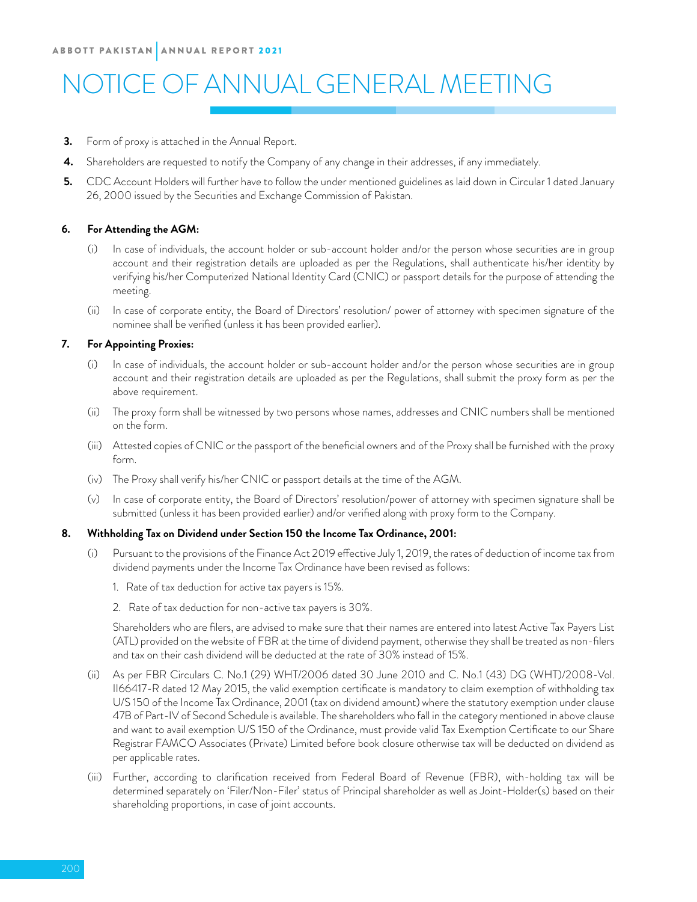## NOTICE OF ANNUAL GENERAL MEETING

- **3.** Form of proxy is attached in the Annual Report.
- **4.** Shareholders are requested to notify the Company of any change in their addresses, if any immediately.
- **5.** CDC Account Holders will further have to follow the under mentioned guidelines as laid down in Circular 1 dated January 26, 2000 issued by the Securities and Exchange Commission of Pakistan.

## **6. For Attending the AGM:**

- In case of individuals, the account holder or sub-account holder and/or the person whose securities are in group account and their registration details are uploaded as per the Regulations, shall authenticate his/her identity by verifying his/her Computerized National Identity Card (CNIC) or passport details for the purpose of attending the meeting.
- (ii) In case of corporate entity, the Board of Directors' resolution/ power of attorney with specimen signature of the nominee shall be verified (unless it has been provided earlier).

## **7. For Appointing Proxies:**

- (i) In case of individuals, the account holder or sub-account holder and/or the person whose securities are in group account and their registration details are uploaded as per the Regulations, shall submit the proxy form as per the above requirement.
- (ii) The proxy form shall be witnessed by two persons whose names, addresses and CNIC numbers shall be mentioned on the form.
- (iii) Attested copies of CNIC or the passport of the beneficial owners and of the Proxy shall be furnished with the proxy form.
- (iv) The Proxy shall verify his/her CNIC or passport details at the time of the AGM.
- (v) In case of corporate entity, the Board of Directors' resolution/power of attorney with specimen signature shall be submitted (unless it has been provided earlier) and/or verified along with proxy form to the Company.

## **8. Withholding Tax on Dividend under Section 150 the Income Tax Ordinance, 2001:**

- (i) Pursuant to the provisions of the Finance Act 2019 effective July 1, 2019, the rates of deduction of income tax from dividend payments under the Income Tax Ordinance have been revised as follows:
	- 1. Rate of tax deduction for active tax payers is 15%.
	- 2. Rate of tax deduction for non-active tax payers is 30%.

 Shareholders who are filers, are advised to make sure that their names are entered into latest Active Tax Payers List (ATL) provided on the website of FBR at the time of dividend payment, otherwise they shall be treated as non-filers and tax on their cash dividend will be deducted at the rate of 30% instead of 15%.

- (ii) As per FBR Circulars C. No.1 (29) WHT/2006 dated 30 June 2010 and C. No.1 (43) DG (WHT)/2008-Vol. II66417-R dated 12 May 2015, the valid exemption certificate is mandatory to claim exemption of withholding tax U/S 150 of the Income Tax Ordinance, 2001 (tax on dividend amount) where the statutory exemption under clause 47B of Part-IV of Second Schedule is available. The shareholders who fall in the category mentioned in above clause and want to avail exemption U/S 150 of the Ordinance, must provide valid Tax Exemption Certificate to our Share Registrar FAMCO Associates (Private) Limited before book closure otherwise tax will be deducted on dividend as per applicable rates.
- (iii) Further, according to clarification received from Federal Board of Revenue (FBR), with-holding tax will be determined separately on 'Filer/Non-Filer' status of Principal shareholder as well as Joint-Holder(s) based on their shareholding proportions, in case of joint accounts.